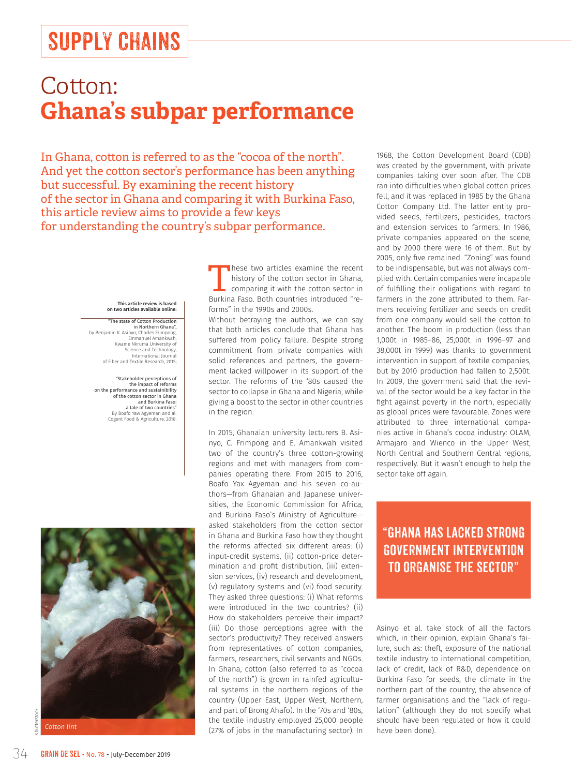# SUPPLY CHAINS

## Cotton: **Ghana's subpar performance**

In Ghana, cotton is referred to as the "cocoa of the north". And yet the cotton sector's performance has been anything but successful. By examining the recent history of the sector in Ghana and comparing it with Burkina Faso, this article review aims to provide a few keys for understanding the country's subpar performance.

#### This article review is based on two articles available online:

"The state of Cotton Production in Northern Ghana", by Benjamin K. Asinyo, Charles Frimpong, Emmanuel Amankwah, Kwame Nkruma University of Science and Technology, International Journ of Fiber and Textile Research, 2015;

"Stakeholder perceptions of the impact of reforms on the performance and sustainibility of the cotton sector in Ghana and Burkina Faso: a tale of two countries" By Boafo Yaw Agyeman and al. Cogent Food & Agriculture, 2018.



shutterstock

These two articles examine the recent history of the cotton sector in Ghana, comparing it with the cotton sector in Burkina Faso. Both countries introduced "reforms" in the 1990s and 2000s.

Without betraying the authors, we can say that both articles conclude that Ghana has suffered from policy failure. Despite strong commitment from private companies with solid references and partners, the government lacked willpower in its support of the sector. The reforms of the '80s caused the sector to collapse in Ghana and Nigeria, while giving a boost to the sector in other countries in the region.

In 2015, Ghanaian university lecturers B. Asinyo, C. Frimpong and E. Amankwah visited two of the country's three cotton-growing regions and met with managers from companies operating there. From 2015 to 2016, Boafo Yax Agyeman and his seven co-authors—from Ghanaian and Japanese universities, the Economic Commission for Africa, and Burkina Faso's Ministry of Agriculture asked stakeholders from the cotton sector in Ghana and Burkina Faso how they thought the reforms affected six different areas: (i) input-credit systems, (ii) cotton-price determination and profit distribution, (iii) extension services, (iv) research and development, (v) regulatory systems and (vi) food security. They asked three questions: (i) What reforms were introduced in the two countries? (ii) How do stakeholders perceive their impact? (iii) Do those perceptions agree with the sector's productivity? They received answers from representatives of cotton companies, farmers, researchers, civil servants and NGOs. In Ghana, cotton (also referred to as "cocoa of the north") is grown in rainfed agricultural systems in the northern regions of the country (Upper East, Upper West, Northern, and part of Brong Ahafo). In the '70s and '80s, the textile industry employed 25,000 people (27% of jobs in the manufacturing sector). In

1968, the Cotton Development Board (CDB) was created by the government, with private companies taking over soon after. The CDB ran into difficulties when global cotton prices fell, and it was replaced in 1985 by the Ghana Cotton Company Ltd. The latter entity provided seeds, fertilizers, pesticides, tractors and extension services to farmers. In 1986, private companies appeared on the scene, and by 2000 there were 16 of them. But by 2005, only five remained. "Zoning" was found to be indispensable, but was not always complied with. Certain companies were incapable of fulfilling their obligations with regard to farmers in the zone attributed to them. Farmers receiving fertilizer and seeds on credit from one company would sell the cotton to another. The boom in production (less than 1,000t in 1985–86, 25,000t in 1996–97 and 38,000t in 1999) was thanks to government intervention in support of textile companies, but by 2010 production had fallen to 2,500t. In 2009, the government said that the revival of the sector would be a key factor in the fight against poverty in the north, especially as global prices were favourable. Zones were attributed to three international companies active in Ghana's cocoa industry: OLAM, Armajaro and Wienco in the Upper West, North Central and Southern Central regions, respectively. But it wasn't enough to help the sector take off again.

### "Ghana has lacked strong government intervention to organise the sector"

Asinyo et al. take stock of all the factors which, in their opinion, explain Ghana's failure, such as: theft, exposure of the national textile industry to international competition, lack of credit, lack of R&D, dependence on Burkina Faso for seeds, the climate in the northern part of the country, the absence of farmer organisations and the "lack of regulation" (although they do not specify what should have been regulated or how it could have been done).